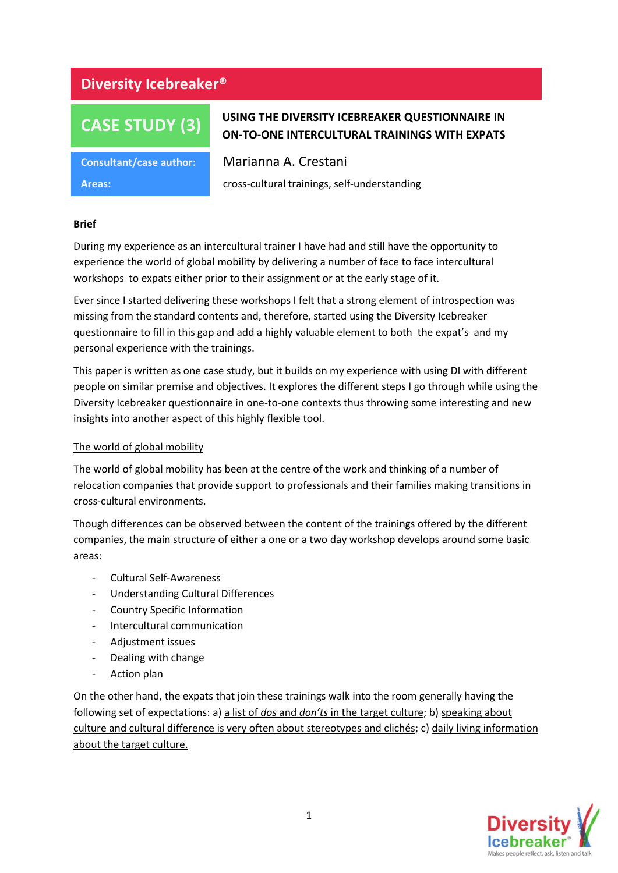# **Diversity Icebreaker®**

# **CASE STUDY (3)**

# **USING THE DIVERSITY ICEBREAKER QUESTIONNAIRE IN ON-TO-ONE INTERCULTURAL TRAININGS WITH EXPATS**

**Consultant/case author:** Marianna A. Crestani

**Areas:** cross-cultural trainings, self-understanding

# **Brief**

During my experience as an intercultural trainer I have had and still have the opportunity to experience the world of global mobility by delivering a number of face to face intercultural workshops to expats either prior to their assignment or at the early stage of it.

Ever since I started delivering these workshops I felt that a strong element of introspection was missing from the standard contents and, therefore, started using the Diversity Icebreaker questionnaire to fill in this gap and add a highly valuable element to both the expat's and my personal experience with the trainings.

This paper is written as one case study, but it builds on my experience with using DI with different people on similar premise and objectives. It explores the different steps I go through while using the Diversity Icebreaker questionnaire in one-to-one contexts thus throwing some interesting and new insights into another aspect of this highly flexible tool.

# The world of global mobility

The world of global mobility has been at the centre of the work and thinking of a number of relocation companies that provide support to professionals and their families making transitions in cross-cultural environments.

Though differences can be observed between the content of the trainings offered by the different companies, the main structure of either a one or a two day workshop develops around some basic areas:

- Cultural Self-Awareness
- Understanding Cultural Differences
- Country Specific Information
- Intercultural communication
- Adjustment issues
- Dealing with change
- Action plan

On the other hand, the expats that join these trainings walk into the room generally having the following set of expectations: a) a list of *dos* and *don'ts* in the target culture; b) speaking about culture and cultural difference is very often about stereotypes and clichés; c) daily living information about the target culture.

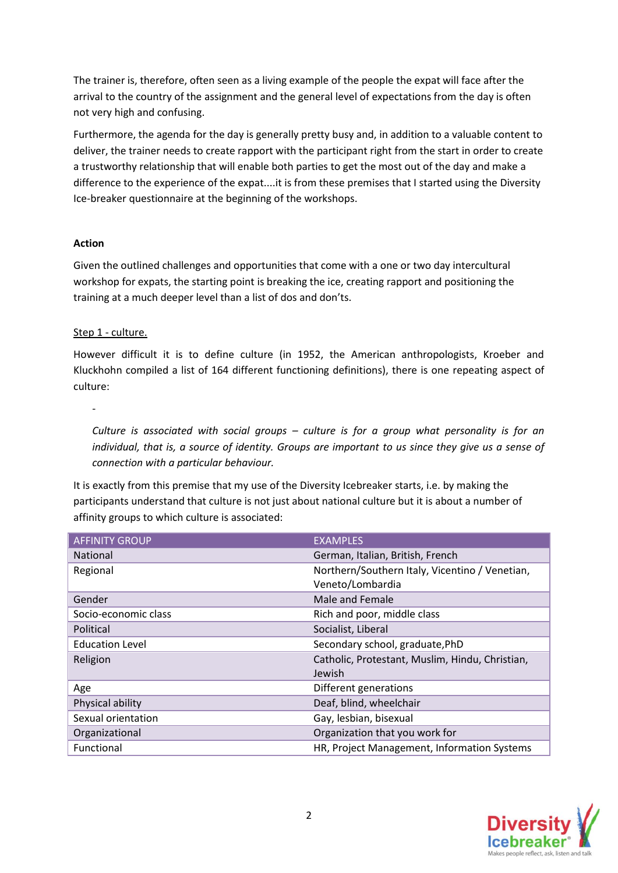The trainer is, therefore, often seen as a living example of the people the expat will face after the arrival to the country of the assignment and the general level of expectations from the day is often not very high and confusing.

Furthermore, the agenda for the day is generally pretty busy and, in addition to a valuable content to deliver, the trainer needs to create rapport with the participant right from the start in order to create a trustworthy relationship that will enable both parties to get the most out of the day and make a difference to the experience of the expat....it is from these premises that I started using the Diversity Ice-breaker questionnaire at the beginning of the workshops.

# **Action**

Given the outlined challenges and opportunities that come with a one or two day intercultural workshop for expats, the starting point is breaking the ice, creating rapport and positioning the training at a much deeper level than a list of dos and don'ts.

# Step 1 - culture.

-

However difficult it is to define culture (in 1952, the American anthropologists, Kroeber and Kluckhohn compiled a list of 164 different functioning definitions), there is one repeating aspect of culture:

*Culture is associated with social groups – culture is for a group what personality is for an individual, that is, a source of identity. Groups are important to us since they give us a sense of connection with a particular behaviour.* 

It is exactly from this premise that my use of the Diversity Icebreaker starts, i.e. by making the participants understand that culture is not just about national culture but it is about a number of affinity groups to which culture is associated:

| <b>AFFINITY GROUP</b>  | <b>EXAMPLES</b>                                 |  |
|------------------------|-------------------------------------------------|--|
| <b>National</b>        | German, Italian, British, French                |  |
| Regional               | Northern/Southern Italy, Vicentino / Venetian,  |  |
|                        | Veneto/Lombardia                                |  |
| Gender                 | Male and Female                                 |  |
| Socio-economic class   | Rich and poor, middle class                     |  |
| Political              | Socialist, Liberal                              |  |
| <b>Education Level</b> | Secondary school, graduate, PhD                 |  |
| Religion               | Catholic, Protestant, Muslim, Hindu, Christian, |  |
|                        | Jewish                                          |  |
| Age                    | Different generations                           |  |
| Physical ability       | Deaf, blind, wheelchair                         |  |
| Sexual orientation     | Gay, lesbian, bisexual                          |  |
| Organizational         | Organization that you work for                  |  |
| Functional             | HR, Project Management, Information Systems     |  |

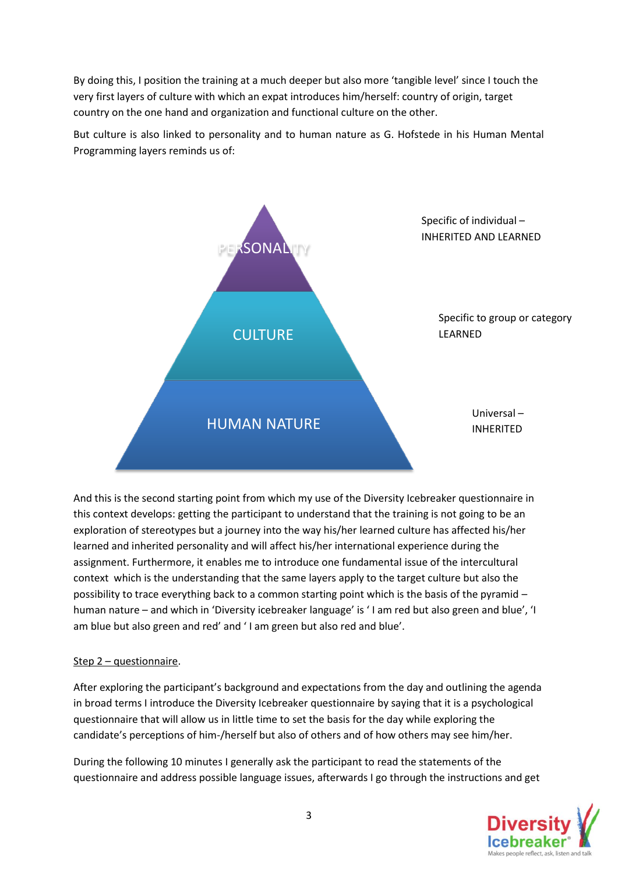By doing this, I position the training at a much deeper but also more 'tangible level' since I touch the very first layers of culture with which an expat introduces him/herself: country of origin, target country on the one hand and organization and functional culture on the other.

But culture is also linked to personality and to human nature as G. Hofstede in his Human Mental Programming layers reminds us of:



And this is the second starting point from which my use of the Diversity Icebreaker questionnaire in this context develops: getting the participant to understand that the training is not going to be an exploration of stereotypes but a journey into the way his/her learned culture has affected his/her learned and inherited personality and will affect his/her international experience during the assignment. Furthermore, it enables me to introduce one fundamental issue of the intercultural context which is the understanding that the same layers apply to the target culture but also the possibility to trace everything back to a common starting point which is the basis of the pyramid – human nature – and which in 'Diversity icebreaker language' is ' I am red but also green and blue', 'I am blue but also green and red' and ' I am green but also red and blue'.

# Step 2 – questionnaire.

After exploring the participant's background and expectations from the day and outlining the agenda in broad terms I introduce the Diversity Icebreaker questionnaire by saying that it is a psychological questionnaire that will allow us in little time to set the basis for the day while exploring the candidate's perceptions of him-/herself but also of others and of how others may see him/her.

During the following 10 minutes I generally ask the participant to read the statements of the questionnaire and address possible language issues, afterwards I go through the instructions and get

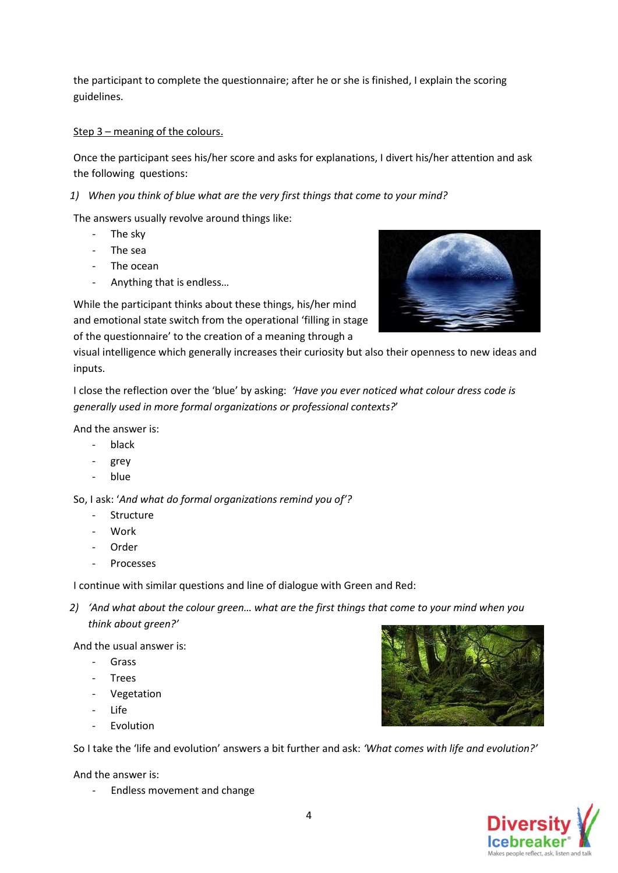the participant to complete the questionnaire; after he or she is finished, I explain the scoring guidelines.

# Step 3 – meaning of the colours.

Once the participant sees his/her score and asks for explanations, I divert his/her attention and ask the following questions:

# *1) When you think of blue what are the very first things that come to your mind?*

The answers usually revolve around things like:

- The sky
- The sea
- The ocean
- Anything that is endless…

While the participant thinks about these things, his/her mind and emotional state switch from the operational 'filling in stage of the questionnaire' to the creation of a meaning through a



visual intelligence which generally increases their curiosity but also their openness to new ideas and inputs.

I close the reflection over the 'blue' by asking: *'Have you ever noticed what colour dress code is generally used in more formal organizations or professional contexts?*'

And the answer is:

- black
- grey
- blue

So, I ask: '*And what do formal organizations remind you of'?*

- Structure
- Work
- **Order**
- Processes

I continue with similar questions and line of dialogue with Green and Red:

*2) 'And what about the colour green… what are the first things that come to your mind when you think about green?'*

And the usual answer is:

- Grass
- Trees
- Vegetation
- Life
- **Evolution**

So I take the 'life and evolution' answers a bit further and ask: *'What comes with life and evolution?'*

And the answer is:

- Endless movement and change



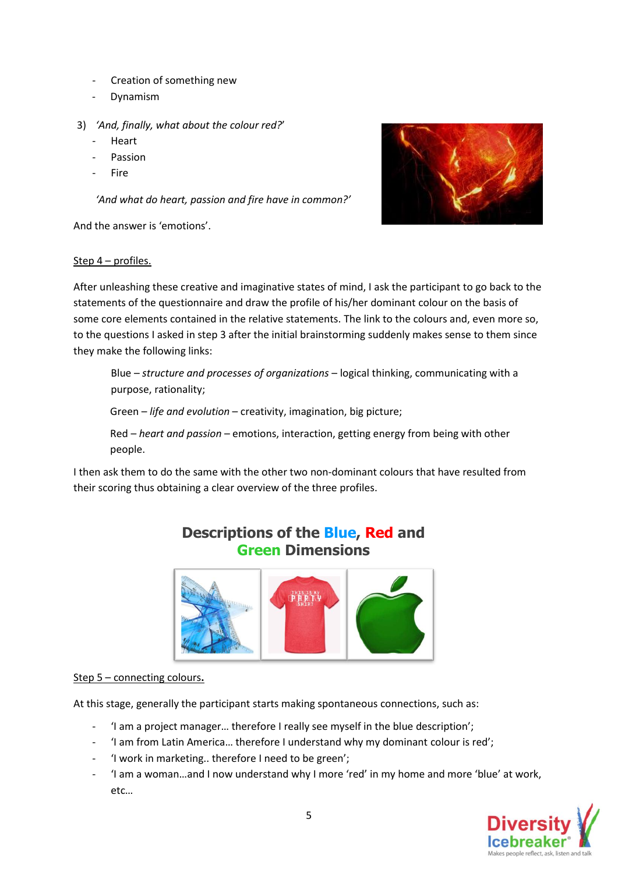- Creation of something new
- Dynamism
- 3) *'And, finally, what about the colour red?*'
	- **Heart**
	- **Passion**
	- Fire

*'And what do heart, passion and fire have in common?'*

And the answer is 'emotions'.



# Step 4 – profiles.

After unleashing these creative and imaginative states of mind, I ask the participant to go back to the statements of the questionnaire and draw the profile of his/her dominant colour on the basis of some core elements contained in the relative statements. The link to the colours and, even more so, to the questions I asked in step 3 after the initial brainstorming suddenly makes sense to them since they make the following links:

Blue – *structure and processes of organizations* – logical thinking, communicating with a purpose, rationality; Green – *life and evolution* – creativity, imagination, big picture;

Red – *heart and passion* – emotions, interaction, getting energy from being with other people.

I then ask them to do the same with the other two non-dominant colours that have resulted from their scoring thus obtaining a clear overview of the three profiles.



# Step 5 – connecting colours**.**

At this stage, generally the participant starts making spontaneous connections, such as:

- 'I am a project manager... therefore I really see myself in the blue description';
- 'I am from Latin America… therefore I understand why my dominant colour is red';
- 'I work in marketing.. therefore I need to be green';
- 'I am a woman…and I now understand why I more 'red' in my home and more 'blue' at work, etc…

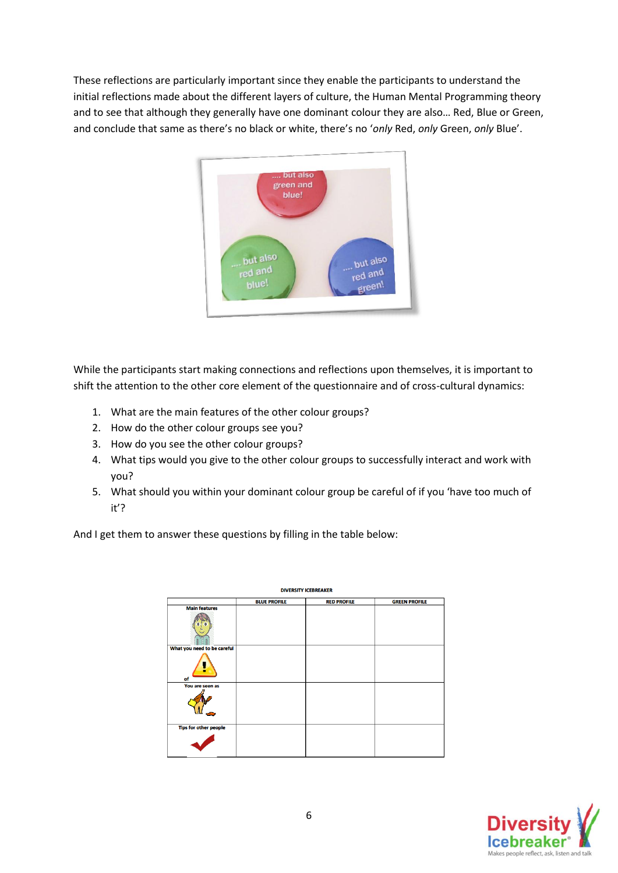These reflections are particularly important since they enable the participants to understand the initial reflections made about the different layers of culture, the Human Mental Programming theory and to see that although they generally have one dominant colour they are also… Red, Blue or Green, and conclude that same as there's no black or white, there's no '*only* Red, *only* Green, *only* Blue'.



While the participants start making connections and reflections upon themselves, it is important to shift the attention to the other core element of the questionnaire and of cross-cultural dynamics:

- 1. What are the main features of the other colour groups?
- 2. How do the other colour groups see you?
- 3. How do you see the other colour groups?
- 4. What tips would you give to the other colour groups to successfully interact and work with you?
- 5. What should you within your dominant colour group be careful of if you 'have too much of it'?

And I get them to answer these questions by filling in the table below:

| <b>DIVERSITY ICEBREAKER</b>  |                     |                    |                      |
|------------------------------|---------------------|--------------------|----------------------|
|                              | <b>BLUE PROFILE</b> | <b>RED PROFILE</b> | <b>GREEN PROFILE</b> |
| <b>Main features</b>         |                     |                    |                      |
|                              |                     |                    |                      |
| What you need to be careful  |                     |                    |                      |
| of                           |                     |                    |                      |
| You are seen as<br>- -       |                     |                    |                      |
| <b>Tips for other people</b> |                     |                    |                      |
|                              |                     |                    |                      |